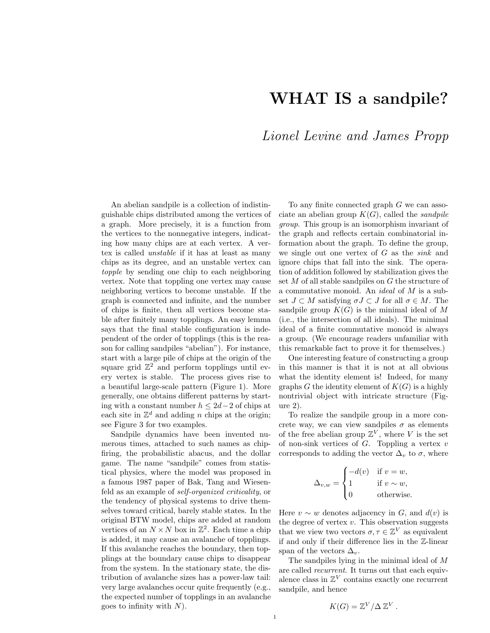## WHAT IS a sandpile?

## *Lionel Levine and James Propp*

An abelian sandpile is a collection of indistinguishable chips distributed among the vertices of a graph. More precisely, it is a function from the vertices to the nonnegative integers, indicating how many chips are at each vertex. A vertex is called *unstable* if it has at least as many chips as its degree, and an unstable vertex can *topple* by sending one chip to each neighboring vertex. Note that toppling one vertex may cause neighboring vertices to become unstable. If the graph is connected and infinite, and the number of chips is finite, then all vertices become stable after finitely many topplings. An easy lemma says that the final stable configuration is independent of the order of topplings (this is the reason for calling sandpiles "abelian"). For instance, start with a large pile of chips at the origin of the square grid  $\mathbb{Z}^2$  and perform topplings until every vertex is stable. The process gives rise to a beautiful large-scale pattern (Figure 1). More generally, one obtains different patterns by starting with a constant number  $h \leq 2d-2$  of chips at each site in  $\mathbb{Z}^d$  and adding n chips at the origin; see Figure 3 for two examples.

Sandpile dynamics have been invented numerous times, attached to such names as chipfiring, the probabilistic abacus, and the dollar game. The name "sandpile" comes from statistical physics, where the model was proposed in a famous 1987 paper of Bak, Tang and Wiesenfeld as an example of *self-organized criticality*, or the tendency of physical systems to drive themselves toward critical, barely stable states. In the original BTW model, chips are added at random vertices of an  $N \times N$  box in  $\mathbb{Z}^2$ . Each time a chip is added, it may cause an avalanche of topplings. If this avalanche reaches the boundary, then topplings at the boundary cause chips to disappear from the system. In the stationary state, the distribution of avalanche sizes has a power-law tail: very large avalanches occur quite frequently (e.g., the expected number of topplings in an avalanche goes to infinity with  $N$ ).

To any finite connected graph G we can associate an abelian group  $K(G)$ , called the *sandpile group*. This group is an isomorphism invariant of the graph and reflects certain combinatorial information about the graph. To define the group, we single out one vertex of G as the *sink* and ignore chips that fall into the sink. The operation of addition followed by stabilization gives the set M of all stable sandpiles on G the structure of a commutative monoid. An *ideal* of M is a subset  $J \subset M$  satisfying  $\sigma J \subset J$  for all  $\sigma \in M$ . The sandpile group  $K(G)$  is the minimal ideal of M (i.e., the intersection of all ideals). The minimal ideal of a finite commutative monoid is always a group. (We encourage readers unfamiliar with this remarkable fact to prove it for themselves.)

One interesting feature of constructing a group in this manner is that it is not at all obvious what the identity element is! Indeed, for many graphs G the identity element of  $K(G)$  is a highly nontrivial object with intricate structure (Figure 2).

To realize the sandpile group in a more concrete way, we can view sandpiles  $\sigma$  as elements of the free abelian group  $\mathbb{Z}^V$ , where V is the set of non-sink vertices of  $G$ . Toppling a vertex  $v$ corresponds to adding the vector  $\Delta_v$  to  $\sigma$ , where

$$
\Delta_{v,w} = \begin{cases}\n-d(v) & \text{if } v = w, \\
1 & \text{if } v \sim w, \\
0 & \text{otherwise.} \n\end{cases}
$$

Here  $v \sim w$  denotes adjacency in G, and  $d(v)$  is the degree of vertex  $v$ . This observation suggests that we view two vectors  $\sigma, \tau \in \mathbb{Z}^V$  as equivalent if and only if their difference lies in the Z-linear span of the vectors  $\Delta_v$ .

The sandpiles lying in the minimal ideal of M are called *recurrent*. It turns out that each equivalence class in  $\mathbb{Z}^V$  contains exactly one recurrent sandpile, and hence

$$
K(G) = \mathbb{Z}^V / \Delta \mathbb{Z}^V.
$$

1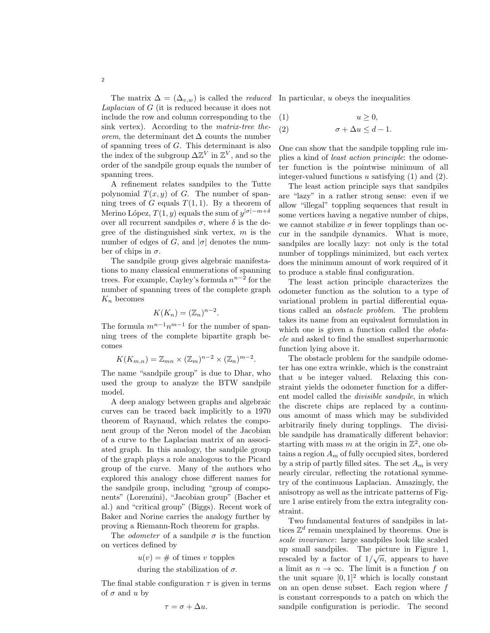The matrix  $\Delta = (\Delta_{v,w})$  is called the *reduced Laplacian* of G (it is reduced because it does not include the row and column corresponding to the sink vertex). According to the *matrix-tree theorem*, the determinant det  $\Delta$  counts the number of spanning trees of G. This determinant is also the index of the subgroup  $\Delta \mathbb{Z}^V$  in  $\mathbb{Z}^V$ , and so the order of the sandpile group equals the number of spanning trees.

A refinement relates sandpiles to the Tutte polynomial  $T(x, y)$  of G. The number of spanning trees of G equals  $T(1, 1)$ . By a theorem of Merino López,  $T(1, y)$  equals the sum of  $y^{|\sigma|-m+\delta}$ over all recurrent sandpiles  $\sigma$ , where δ is the degree of the distinguished sink vertex,  $m$  is the number of edges of G, and  $|\sigma|$  denotes the number of chips in  $\sigma$ .

The sandpile group gives algebraic manifestations to many classical enumerations of spanning trees. For example, Cayley's formula  $n^{n-2}$  for the number of spanning trees of the complete graph  $K_n$  becomes

$$
K(K_n) = (\mathbb{Z}_n)^{n-2}.
$$

The formula  $m^{n-1}n^{m-1}$  for the number of spanning trees of the complete bipartite graph becomes

$$
K(K_{m,n}) = \mathbb{Z}_{mn} \times (\mathbb{Z}_m)^{n-2} \times (\mathbb{Z}_n)^{m-2}.
$$

The name "sandpile group" is due to Dhar, who used the group to analyze the BTW sandpile model.

A deep analogy between graphs and algebraic curves can be traced back implicitly to a 1970 theorem of Raynaud, which relates the component group of the Neron model of the Jacobian of a curve to the Laplacian matrix of an associated graph. In this analogy, the sandpile group of the graph plays a role analogous to the Picard group of the curve. Many of the authors who explored this analogy chose different names for the sandpile group, including "group of components" (Lorenzini), "Jacobian group" (Bacher et al.) and "critical group" (Biggs). Recent work of Baker and Norine carries the analogy further by proving a Riemann-Roch theorem for graphs.

The *odometer* of a sandpile  $\sigma$  is the function on vertices defined by

 $u(v) = #$  of times v topples

during the stabilization of  $\sigma$ .

The final stable configuration  $\tau$  is given in terms of  $\sigma$  and u by

 $\tau = \sigma + \Delta u$ .

In particular, u obeys the inequalities

$$
(1) \t u \geq 0,
$$

$$
(2) \qquad \qquad \sigma + \Delta u \leq d - 1.
$$

One can show that the sandpile toppling rule implies a kind of *least action principle*: the odometer function is the pointwise minimum of all integer-valued functions  $u$  satisfying  $(1)$  and  $(2)$ .

The least action principle says that sandpiles are "lazy" in a rather strong sense: even if we allow "illegal" toppling sequences that result in some vertices having a negative number of chips, we cannot stabilize  $\sigma$  in fewer topplings than occur in the sandpile dynamics. What is more, sandpiles are locally lazy: not only is the total number of topplings minimized, but each vertex does the minimum amount of work required of it to produce a stable final configuration.

The least action principle characterizes the odometer function as the solution to a type of variational problem in partial differential equations called an *obstacle problem*. The problem takes its name from an equivalent formulation in which one is given a function called the *obstacle* and asked to find the smallest superharmonic function lying above it.

The obstacle problem for the sandpile odometer has one extra wrinkle, which is the constraint that  $u$  be integer valued. Relaxing this constraint yields the odometer function for a different model called the *divisible sandpile*, in which the discrete chips are replaced by a continuous amount of mass which may be subdivided arbitrarily finely during topplings. The divisible sandpile has dramatically different behavior: starting with mass m at the origin in  $\mathbb{Z}^2$ , one obtains a region  $A_m$  of fully occupied sites, bordered by a strip of partly filled sites. The set  $A_m$  is very nearly circular, reflecting the rotational symmetry of the continuous Laplacian. Amazingly, the anisotropy as well as the intricate patterns of Figure 1 arise entirely from the extra integrality constraint.

Two fundamental features of sandpiles in lattices  $\mathbb{Z}^d$  remain unexplained by theorems. One is *scale invariance*: large sandpiles look like scaled up small sandpiles. The picture in Figure 1, rescaled by a factor of  $1/\sqrt{n}$ , appears to have a limit as  $n \to \infty$ . The limit is a function f on the unit square  $[0, 1]^2$  which is locally constant on an open dense subset. Each region where  $f$ is constant corresponds to a patch on which the sandpile configuration is periodic. The second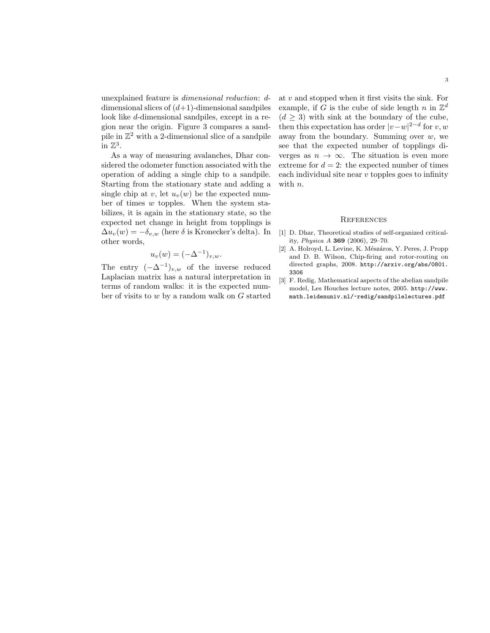unexplained feature is *dimensional reduction*: ddimensional slices of  $(d+1)$ -dimensional sandpiles look like d-dimensional sandpiles, except in a region near the origin. Figure 3 compares a sandpile in  $\mathbb{Z}^2$  with a 2-dimensional slice of a sandpile in  $\mathbb{Z}^3$ .

As a way of measuring avalanches, Dhar considered the odometer function associated with the operation of adding a single chip to a sandpile. Starting from the stationary state and adding a single chip at v, let  $u_v(w)$  be the expected number of times  $w$  topples. When the system stabilizes, it is again in the stationary state, so the expected net change in height from topplings is  $\Delta u_v(w) = -\delta_{v,w}$  (here  $\delta$  is Kronecker's delta). In other words,

$$
u_v(w) = (-\Delta^{-1})_{v,w}.
$$

The entry  $(-\Delta^{-1})_{v,w}$  of the inverse reduced Laplacian matrix has a natural interpretation in terms of random walks: it is the expected number of visits to w by a random walk on G started at  $v$  and stopped when it first visits the sink. For example, if G is the cube of side length n in  $\mathbb{Z}^d$  $(d > 3)$  with sink at the boundary of the cube, then this expectation has order  $|v-w|^{2-d}$  for  $v, w$ away from the boundary. Summing over  $w$ , we see that the expected number of topplings diverges as  $n \to \infty$ . The situation is even more extreme for  $d = 2$ : the expected number of times each individual site near  $v$  topples goes to infinity with *n*.

## **REFERENCES**

- [1] D. Dhar, Theoretical studies of self-organized criticality, *Physica A* 369 (2006), 29–70.
- [2] A. Holroyd, L. Levine, K. Mészáros, Y. Peres, J. Propp and D. B. Wilson, Chip-firing and rotor-routing on directed graphs, 2008. http://arxiv.org/abs/0801. 3306
- [3] F. Redig, Mathematical aspects of the abelian sandpile model, Les Houches lecture notes, 2005. http://www. math.leidenuniv.nl/~redig/sandpilelectures.pdf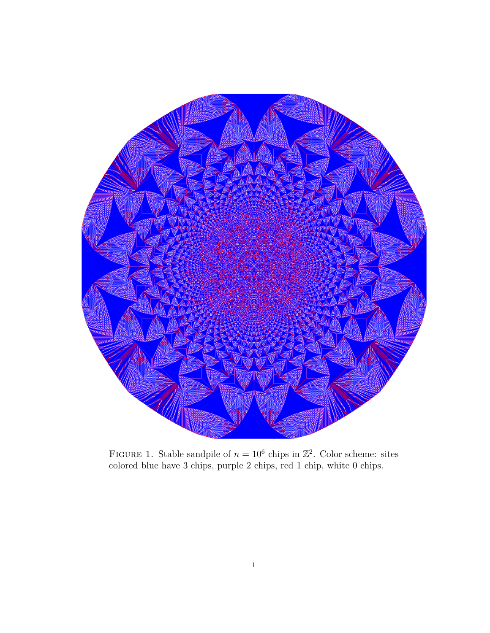

FIGURE 1. Stable sandpile of  $n = 10^6$  chips in  $\mathbb{Z}^2$ . Color scheme: sites colored blue have 3 chips, purple 2 chips, red 1 chip, white 0 chips.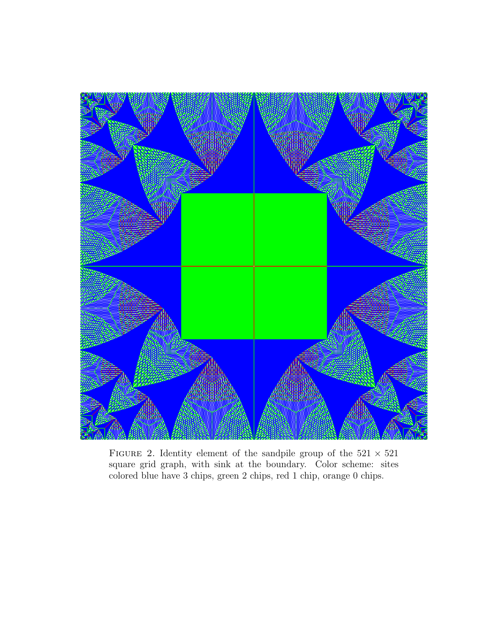

FIGURE 2. Identity element of the sandpile group of the  $521 \times 521$ square grid graph, with sink at the boundary. Color scheme: sites colored blue have 3 chips, green 2 chips, red 1 chip, orange 0 chips.